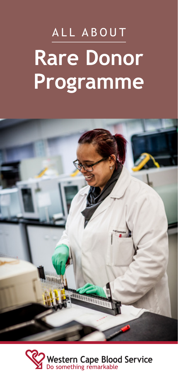# ALL ABOUT **Rare Donor** Programme



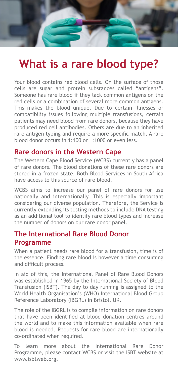# **What is a rare blood type?**

Your blood contains red blood cells. On the surface of those cells are sugar and protein substances called "antigens". Someone has rare blood if they lack common antigens on the red cells or a combination of several more common antigens. This makes the blood unique. Due to certain illnesses or compatibility issues following multiple transfusions, certain patients may need blood from rare donors, because they have produced red cell antibodies. Others are due to an inherited rare antigen typing and require a more specific match. A rare blood donor occurs in 1:100 or 1:1000 or even less.

#### **Rare donors in the Western Cape**

The Western Cape Blood Service (WCBS) currently has a panel of rare donors. The blood donations of these rare donors are stored in a frozen state. Both Blood Services in South Africa have access to this source of rare blood.

WCBS aims to increase our panel of rare donors for use nationally and internationally. This is especially important considering our diverse population. Therefore, the Service is currently extending its testing methods to include DNA testing as an additional tool to identify rare blood types and increase the number of donors on our rare donor panel.

#### **The International Rare Blood Donor Programme**

When a patient needs rare blood for a transfusion, time is of the essence. Finding rare blood is however a time consuming and difficult process.

In aid of this, the International Panel of Rare Blood Donors was established in 1965 by the International Society of Blood Transfusion (ISBT). The day to day running is assigned to the World Health Organisation's (WHO) International Blood Group Reference Laboratory (IBGRL) in Bristol, UK.

The role of the IBGRL is to compile information on rare donors that have been identified at blood donation centres around the world and to make this information available when rare blood is needed. Requests for rare blood are internationally co-ordinated when required.

To learn more about the International Rare Donor Programme, please contact WCBS or visit the ISBT website at www.isbtweb.org.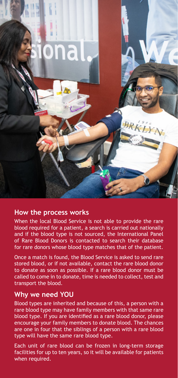

#### **How the process works**

When the local Blood Service is not able to provide the rare blood required for a patient, a search is carried out nationally and if the blood type is not sourced, the International Panel of Rare Blood Donors is contacted to search their database for rare donors whose blood type matches that of the patient.

Once a match is found, the Blood Service is asked to send rare stored blood, or if not available, contact the rare blood donor to donate as soon as possible. If a rare blood donor must be called to come in to donate, time is needed to collect, test and transport the blood.

#### **Why we need YOU**

Blood types are inherited and because of this, a person with a rare blood type may have family members with that same rare blood type. If you are identified as a rare blood donor, please encourage your family members to donate blood. The chances are one in four that the siblings of a person with a rare blood type will have the same rare blood type.

Each unit of rare blood can be frozen in long-term storage facilities for up to ten years, so it will be available for patients when required.